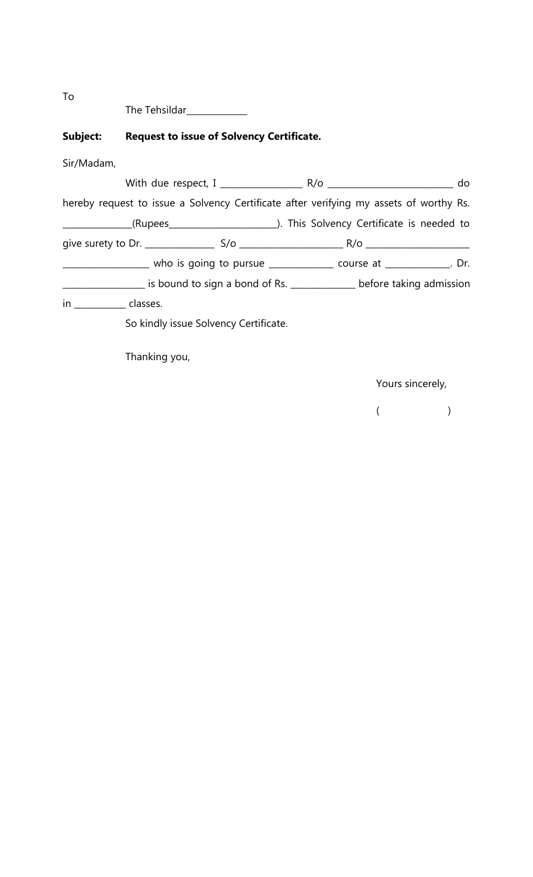| The Tehsildar |
|---------------|
|---------------|

# **Subject: Request to issue of Solvency Certificate.**

Sir/Madam,

| hereby request to issue a Solvency Certificate after verifying my assets of worthy Rs.   |                                                                                   |
|------------------------------------------------------------------------------------------|-----------------------------------------------------------------------------------|
|                                                                                          |                                                                                   |
|                                                                                          |                                                                                   |
|                                                                                          | _______________ who is going to pursue _____________ course at _____________. Dr. |
| __________________ is bound to sign a bond of Rs. ______________ before taking admission |                                                                                   |
| in classes.                                                                              |                                                                                   |
| So kindly issue Solvency Certificate.                                                    |                                                                                   |

Thanking you,

Yours sincerely,

 $($ 

To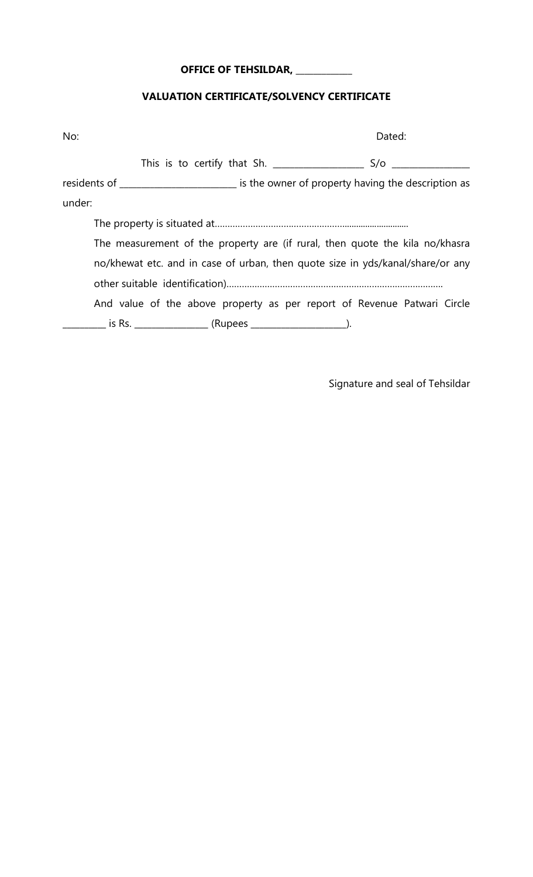## **OFFICE OF TEHSILDAR, \_\_\_\_\_\_\_\_\_\_\_\_\_**

### **VALUATION CERTIFICATE/SOLVENCY CERTIFICATE**

| No:                                                                            |  | Dated:                                                                                    |
|--------------------------------------------------------------------------------|--|-------------------------------------------------------------------------------------------|
|                                                                                |  | S/O                                                                                       |
|                                                                                |  | residents of _________________________ is the owner of property having the description as |
| under:                                                                         |  |                                                                                           |
|                                                                                |  |                                                                                           |
|                                                                                |  | The measurement of the property are (if rural, then quote the kila no/khasra              |
| no/khewat etc. and in case of urban, then quote size in yds/kanal/share/or any |  |                                                                                           |
|                                                                                |  |                                                                                           |
|                                                                                |  | And value of the above property as per report of Revenue Patwari Circle                   |
|                                                                                |  |                                                                                           |

Signature and seal of Tehsildar